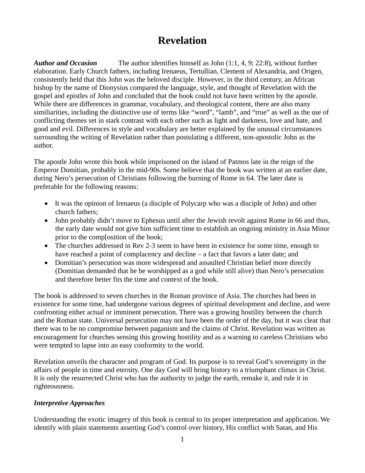# **Revelation**

*Author and Occasion* The author identifies himself as John (1:1, 4, 9; 22:8), without further elaboration. Early Church fathers, including Irenaeus, Tertullian, Clement of Alexandria, and Origen, consistently held that this John was the beloved disciple. However, in the third century, an African bishop by the name of Dionysius compared the language, style, and thought of Revelation with the gospel and epistles of John and concluded that the book could not have been written by the apostle. While there are differences in grammar, vocabulary, and theological content, there are also many similiarities, including the distinctive use of terms like "word", "lamb", and "true" as well as the use of conflicting themes set in stark contrast with each other such as light and darkness, love and hate, and good and evil. Differences in style and vocabulary are better explained by the unusual circumstances surrounding the writing of Revelation rather than postulating a different, non-apostolic John as the author.

The apostle John wrote this book while imprisoned on the island of Patmos late in the reign of the Emperor Domitian, probably in the mid-90s. Some believe that the book was written at an earlier date, during Nero's persecution of Christians following the burning of Rome in 64. The later date is preferable for the following reasons:

- It was the opinion of Irenaeus (a disciple of Polycarp who was a disciple of John) and other church fathers;
- John probably didn't move to Ephesus until after the Jewish revolt against Rome in 66 and thus, the early date would not give him sufficient time to establish an ongoing ministry in Asia Minor prior to the comp[osition of the book;
- The churches addressed in Rev 2-3 seem to have been in existence for some time, enough to have reached a point of complacency and decline – a fact that favors a later date; and
- Domitian's persecution was more widespread and assaulted Christian belief more directly (Domitian demanded that he be worshipped as a god while still alive) than Nero's persecution and therefore better fits the time and context of the book.

The book is addressed to seven churches in the Roman province of Asia. The churches had been in existence for some time, had undergone various degrees of spiritual development and decline, and were confronting either actual or imminent persecution. There was a growing hostility between the church and the Roman state. Universal persecution may not have been the order of the day, but it was clear that there was to be no compromise between paganism and the claims of Christ. Revelation was written as encouragement for churches sensing this growing hostility and as a warning to careless Christians who were tempted to lapse into an easy conformity to the world.

Revelation unveils the character and program of God. Its purpose is to reveal God's sovereignty in the affairs of people in time and eternity. One day God will bring history to a triumphant climax in Christ. It is only the resurrected Christ who has the authority to judge the earth, remake it, and rule it in righteousness.

## *Interpretive Approaches*

Understanding the exotic imagery of this book is central to its proper interpretation and application. We identify with plain statements asserting God's control over history, His conflict with Satan, and His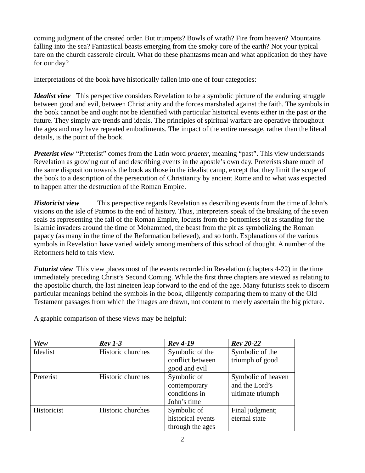coming judgment of the created order. But trumpets? Bowls of wrath? Fire from heaven? Mountains falling into the sea? Fantastical beasts emerging from the smoky core of the earth? Not your typical fare on the church casserole circuit. What do these phantasms mean and what application do they have for our day?

Interpretations of the book have historically fallen into one of four categories:

*Idealist view* This perspective considers Revelation to be a symbolic picture of the enduring struggle between good and evil, between Christianity and the forces marshaled against the faith. The symbols in the book cannot be and ought not be identified with particular historical events either in the past or the future. They simply are trends and ideals. The principles of spiritual warfare are operative throughout the ages and may have repeated embodiments. The impact of the entire message, rather than the literal details, is the point of the book.

*Preterist view* "Preterist" comes from the Latin word *praeter*, meaning "past". This view understands Revelation as growing out of and describing events in the apostle's own day. Preterists share much of the same disposition towards the book as those in the idealist camp, except that they limit the scope of the book to a description of the persecution of Christianity by ancient Rome and to what was expected to happen after the destruction of the Roman Empire.

*Historicist view* This perspective regards Revelation as describing events from the time of John's visions on the isle of Patmos to the end of history. Thus, interpreters speak of the breaking of the seven seals as representing the fall of the Roman Empire, locusts from the bottomless pit as standing for the Islamic invaders around the time of Mohammed, the beast from the pit as symbolizing the Roman papacy (as many in the time of the Reformation believed), and so forth. Explanations of the various symbols in Revelation have varied widely among members of this school of thought. A number of the Reformers held to this view.

*Futurist view* This view places most of the events recorded in Revelation (chapters 4-22) in the time immediately preceding Christ's Second Coming. While the first three chapters are viewed as relating to the apostolic church, the last nineteen leap forward to the end of the age. Many futurists seek to discern particular meanings behind the symbols in the book, diligently comparing them to many of the Old Testament passages from which the images are drawn, not content to merely ascertain the big picture.

| <b>View</b> | $Rev 1-3$         | <b>Rev</b> 4-19   | $Rev 20-22$        |
|-------------|-------------------|-------------------|--------------------|
| Idealist    | Historic churches | Symbolic of the   | Symbolic of the    |
|             |                   | conflict between  | triumph of good    |
|             |                   | good and evil     |                    |
| Preterist   | Historic churches | Symbolic of       | Symbolic of heaven |
|             |                   | contemporary      | and the Lord's     |
|             |                   | conditions in     | ultimate triumph   |
|             |                   | John's time       |                    |
| Historicist | Historic churches | Symbolic of       | Final judgment;    |
|             |                   | historical events | eternal state      |
|             |                   | through the ages  |                    |

A graphic comparison of these views may be helpful: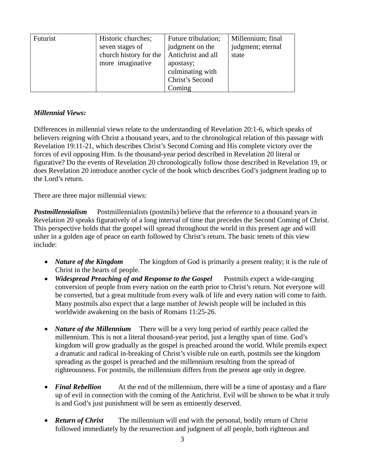| Futurist | Historic churches;     | Future tribulation; | Millennium; final |
|----------|------------------------|---------------------|-------------------|
|          | seven stages of        | judgment on the     | judgment; eternal |
|          | church history for the | Antichrist and all  | state             |
|          | more imaginative       | apostasy;           |                   |
|          |                        | culminating with    |                   |
|          |                        | Christ's Second     |                   |
|          |                        | Coming              |                   |

#### *Millennial Views:*

Differences in millennial views relate to the understanding of Revelation 20:1-6, which speaks of believers reigning with Christ a thousand years, and to the chronological relation of this passage with Revelation 19:11-21, which describes Christ's Second Coming and His complete victory over the forces of evil opposing Him. Is the thousand-year period described in Revelation 20 literal or figurative? Do the events of Revelation 20 chronologically follow those described in Revelation 19, or does Revelation 20 introduce another cycle of the book which describes God's judgment leading up to the Lord's return.

There are three major millennial views:

*Postmillennialism* Postmillennialists (postmils) believe that the reference to a thousand years in Revelation 20 speaks figuratively of a long interval of time that precedes the Second Coming of Christ. This perspective holds that the gospel will spread throughout the world in this present age and will usher in a golden age of peace on earth followed by Christ's return. The basic tenets of this view include:

- *Nature of the Kingdom* The kingdom of God is primarily a present reality; it is the rule of Christ in the hearts of people.
- *Widespread Preaching of and Response to the Gospel* Postmils expect a wide-ranging conversion of people from every nation on the earth prior to Christ's return. Not everyone will be converted, but a great multitude from every walk of life and every nation will come to faith. Many postmils also expect that a large number of Jewish people will be included in this worldwide awakening on the basis of Romans 11:25-26.
- *Nature of the Millennium* There will be a very long period of earthly peace called the millennium. This is not a literal thousand-year period, just a lengthy span of time. God's kingdom will grow gradually as the gospel is preached around the world. While premils expect a dramatic and radical in-breaking of Christ's visible rule on earth, postmils see the kingdom spreading as the gospel is preached and the millennium resulting from the spread of righteousness. For postmils, the millennium differs from the present age only in degree.
- **Final Rebellion** At the end of the millennium, there will be a time of apostasy and a flare up of evil in connection with the coming of the Antichrist. Evil will be shown to be what it truly is and God's just punishment will be seen as eminently deserved.
- **Return of Christ** The millennium will end with the personal, bodily return of Christ followed immediately by the resurrection and judgment of all people, both righteous and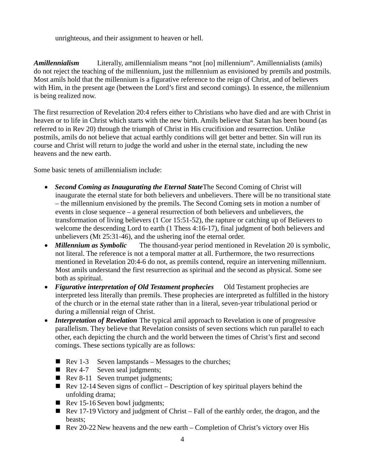unrighteous, and their assignment to heaven or hell.

*Amillennialism* Literally, amillennialism means "not [no] millennium". Amillennialists (amils) do not reject the teaching of the millennium, just the millennium as envisioned by premils and postmils. Most amils hold that the millennium is a figurative reference to the reign of Christ, and of believers with Him, in the present age (between the Lord's first and second comings). In essence, the millennium is being realized now.

The first resurrection of Revelation 20:4 refers either to Christians who have died and are with Christ in heaven or to life in Christ which starts with the new birth. Amils believe that Satan has been bound (as referred to in Rev 20) through the triumph of Christ in His crucifixion and resurrection. Unlike postmils, amils do not believe that actual earthly conditions will get better and better. Sin will run its course and Christ will return to judge the world and usher in the eternal state, including the new heavens and the new earth.

Some basic tenets of amillennialism include:

- *Second Coming as Inaugurating the Eternal State*The Second Coming of Christ will inaugurate the eternal state for both believers and unbelievers. There will be no transitional state – the millennium envisioned by the premils. The Second Coming sets in motion a number of events in close sequence – a general resurrection of both believers and unbelievers, the transformation of living believers (1 Cor 15:51-52), the rapture or catching up of Believers to welcome the descending Lord to earth (1 Thess 4:16-17), final judgment of both believers and unbelievers (Mt 25:31-46), and the ushering inof the eternal order.
- *Millennium as Symbolic* The thousand-year period mentioned in Revelation 20 is symbolic, not literal. The reference is not a temporal matter at all. Furthermore, the two resurrections mentioned in Revelation 20:4-6 do not, as premils contend, require an intervening millennium. Most amils understand the first resurrection as spiritual and the second as physical. Some see both as spiritual.
- *Figurative interpretation of Old Testament prophecies* Old Testament prophecies are interpreted less literally than premils. These prophecies are interpreted as fulfilled in the history of the church or in the eternal state rather than in a literal, seven-year tribulational period or during a millennial reign of Christ.
- *Interpretation of Revelation* The typical amil approach to Revelation is one of progressive parallelism. They believe that Revelation consists of seven sections which run parallel to each other, each depicting the church and the world between the times of Christ's first and second comings. These sections typically are as follows:
	- Rev 1-3 Seven lampstands Messages to the churches;
	- Rev 4-7 Seven seal judgments;
	- Rev 8-11 Seven trumpet judgments;
	- Rev 12-14 Seven signs of conflict Description of key spiritual players behind the unfolding drama;
	- Rev 15-16 Seven bowl judgments;
	- Rev 17-19 Victory and judgment of Christ Fall of the earthly order, the dragon, and the beasts;
	- Rev 20-22 New heavens and the new earth Completion of Christ's victory over His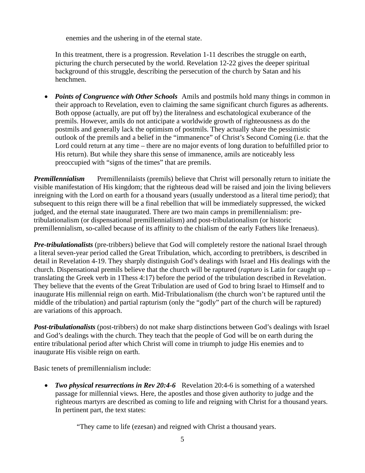enemies and the ushering in of the eternal state.

In this treatment, there is a progression. Revelation 1-11 describes the struggle on earth, picturing the church persecuted by the world. Revelation 12-22 gives the deeper spiritual background of this struggle, describing the persecution of the church by Satan and his henchmen.

• *Points of Congruence with Other Schools* Amils and postmils hold many things in common in their approach to Revelation, even to claiming the same significant church figures as adherents. Both oppose (actually, are put off by) the literalness and eschatological exuberance of the premils. However, amils do not anticipate a worldwide growth of righteousness as do the postmils and generally lack the optimism of postmils. They actually share the pessimistic outlook of the premils and a belief in the "immanence" of Christ's Second Coming (i.e. that the Lord could return at any time – there are no major events of long duration to befulfilled prior to His return). But while they share this sense of immanence, amils are noticeably less preoccupied with "signs of the times" that are premils.

*Premillennialism* Premillennilaists (premils) believe that Christ will personally return to initiate the visible manifestation of His kingdom; that the righteous dead will be raised and join the living believers inreigning with the Lord on earth for a thousand years (usually understood as a literal time period); that subsequent to this reign there will be a final rebellion that will be immediately suppressed, the wicked judged, and the eternal state inaugurated. There are two main camps in premillennialism: pretribulationalism (or dispensational premillennialism) and post-tribulationalism (or historic premillennialism, so-called because of its affinity to the chialism of the early Fathers like Irenaeus).

*Pre-tribulationalists* (pre-tribbers) believe that God will completely restore the national Israel through a literal seven-year period called the Great Tribulation, which, according to pretribbers, is described in detail in Revelation 4-19. They sharply distinguish God's dealings with Israel and His dealings with the church. Dispensational premils believe that the church will be raptured (*rapturo* is Latin for caught up – translating the Greek verb in 1Thess 4:17) before the period of the tribulation described in Revelation. They believe that the events of the Great Tribulation are used of God to bring Israel to Himself and to inaugurate His millennial reign on earth. Mid-Tribulationalism (the church won't be raptured until the middle of the tribulation) and partial rapturism (only the "godly" part of the church will be raptured) are variations of this approach.

*Post-tribulationalists* (post-tribbers) do not make sharp distinctions between God's dealings with Israel and God's dealings with the church. They teach that the people of God will be on earth during the entire tribulational period after which Christ will come in triumph to judge His enemies and to inaugurate His visible reign on earth.

Basic tenets of premillennialism include:

• *Two physical resurrections in Rev 20:4-6* Revelation 20:4-6 is something of a watershed passage for millennial views. Here, the apostles and those given authority to judge and the righteous martyrs are described as coming to life and reigning with Christ for a thousand years. In pertinent part, the text states:

"They came to life (ezesan) and reigned with Christ a thousand years.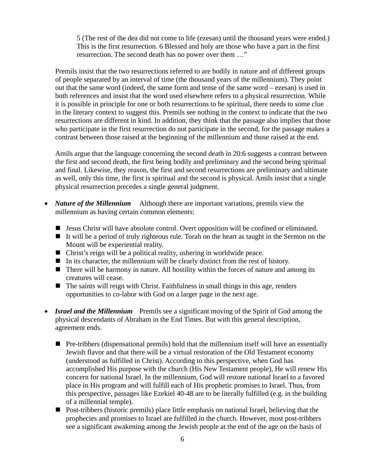5 (The rest of the dea did not come to life (ezesan) until the thousand years were ended.) This is the first resurrection. 6 Blessed and holy are those who have a part in the first resurrection. The second death has no power over them …"

Premils insist that the two resurrections referred to are bodily in nature and of different groups of people separated by an interval of time (the thousand years of the millennium). They point out that the same word (indeed, the same form and tense of the same word – ezesan) is used in both references and insist that the word used elsewhere refers to a physical resurrection. While it is possible in principle for one or both resurrections to be spiritual, there needs to some clue in the literary context to suggest this. Premils see nothing in the context to indicate that the two resurrections are different in kind. In addition, they think that the passage also implies that those who participate in the first resurrection do not participate in the second, for the passage makes a contrast between those raised at the beginning of the millennium and those raised at the end.

Amils argue that the language concerning the second death in 20:6 suggests a contrast between the first and second death, the first being bodily and preliminary and the second being spiritual and final. Likewise, they reason, the first and second resurrections are preliminary and ultimate as well, only this time, the first is spiritual and the second is physical. Amils insist that a single physical resurrection precedes a single general judgment.

- *Nature of the Millennium* Although there are important variations, premils view the millennium as having certain common elements:
	- $\blacksquare$  Jesus Christ will have absolute control. Overt opposition will be confined or eliminated.
	- It will be a period of truly righteous rule. Torah on the heart as taught in the Sermon on the Mount will be experiential reality.
	- $\blacksquare$  Christ's reign will be a political reality, ushering in worldwide peace.
	- In its character, the millennium will be clearly distinct from the rest of history.
	- $\blacksquare$  There will be harmony in nature. All hostility within the forces of nature and among its creatures will cease.
	- $\blacksquare$  The saints will reign with Christ. Faithfulness in small things in this age, renders opportunities to co-labor with God on a larger page in the next age.
- *Israel and the Millennium* Premils see a significant moving of the Spirit of God among the physical descendants of Abraham in the End Times. But with this general description, agreement ends.
	- Pre-tribbers (dispensational premils) hold that the millennium itself will have an essentially Jewish flavor and that there will be a virtual restoration of the Old Testament economy (understood as fulfilled in Christ). According to this perspective, when God has accomplished His purpose with the church (His New Testament people), He will renew His concern for national Israel. In the millennium, God will restore national Israel to a favored place in His program and will fulfill each of His prophetic promises to Israel. Thus, from this perspective, passages like Ezekiel 40-48 are to be literally fulfilled (e.g. in the building of a millennial temple).
	- Post-tribbers (historic premils) place little emphasis on national Israel, believing that the prophecies and promises to Israel are fulfilled in the church. However, most post-tribbers see a significant awakening among the Jewish people at the end of the age on the basis of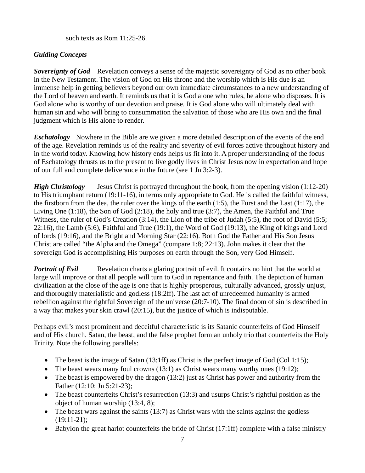such texts as Rom 11:25-26.

# *Guiding Concepts*

**Sovereignty of God** Revelation conveys a sense of the majestic sovereignty of God as no other book in the New Testament. The vision of God on His throne and the worship which is His due is an immense help in getting believers beyond our own immediate circumstances to a new understanding of the Lord of heaven and earth. It reminds us that it is God alone who rules, he alone who disposes. It is God alone who is worthy of our devotion and praise. It is God alone who will ultimately deal with human sin and who will bring to consummation the salvation of those who are His own and the final judgment which is His alone to render.

*Eschatology* Nowhere in the Bible are we given a more detailed description of the events of the end of the age. Revelation reminds us of the reality and severity of evil forces active throughout history and in the world today. Knowing how history ends helps us fit into it. A proper understanding of the focus of Eschatology thrusts us to the present to live godly lives in Christ Jesus now in expectation and hope of our full and complete deliverance in the future (see 1 Jn 3:2-3).

*High Christology* Jesus Christ is portrayed throughout the book, from the opening vision (1:12-20) to His triumphant return (19:11-16), in terms only appropriate to God. He is called the faithful witness, the firstborn from the dea, the ruler over the kings of the earth (1:5), the Furst and the Last (1:17), the Living One (1:18), the Son of God (2:18), the holy and true (3:7), the Amen, the Faithful and True Witness, the ruler of God's Creation (3:14), the Lion of the tribe of Judah (5:5), the root of David (5:5; 22:16), the Lamb (5:6), Faithful and True (19:1), the Word of God (19:13), the King of kings and Lord of lords (19:16), and the Bright and Morning Star (22:16). Both God the Father and His Son Jesus Christ are called "the Alpha and the Omega" (compare 1:8; 22:13). John makes it clear that the sovereign God is accomplishing His purposes on earth through the Son, very God Himself.

**Portrait of Evil** Revelation charts a glaring portrait of evil. It contains no hint that the world at large will improve or that all people will turn to God in repentance and faith. The depiction of human civilization at the close of the age is one that is highly prosperous, culturally advanced, grossly unjust, and thoroughly materialistic and godless (18:2ff). The last act of unredeemed humanity is armed rebellion against the rightful Sovereign of the universe (20:7-10). The final doom of sin is described in a way that makes your skin crawl (20:15), but the justice of which is indisputable.

Perhaps evil's most prominent and deceitful characteristic is its Satanic counterfeits of God Himself and of His church. Satan, the beast, and the false prophet form an unholy trio that counterfeits the Holy Trinity. Note the following parallels:

- The beast is the image of Satan (13:1ff) as Christ is the perfect image of God (Col 1:15);
- The beast wears many foul crowns  $(13:1)$  as Christ wears many worthy ones  $(19:12)$ ;
- The beast is empowered by the dragon (13:2) just as Christ has power and authority from the Father (12:10; Jn 5:21-23);
- The beast counterfeits Christ's resurrection (13:3) and usurps Christ's rightful position as the object of human worship (13:4, 8);
- The beast wars against the saints  $(13:7)$  as Christ wars with the saints against the godless (19:11-21);
- Babylon the great harlot counterfeits the bride of Christ (17:1ff) complete with a false ministry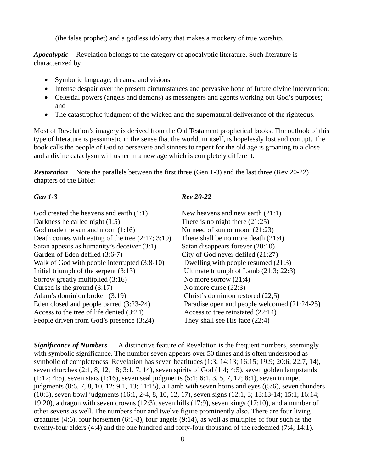(the false prophet) and a godless idolatry that makes a mockery of true worship.

*Apocalyptic* Revelation belongs to the category of apocalyptic literature. Such literature is characterized by

- Symbolic language, dreams, and visions;
- Intense despair over the present circumstances and pervasive hope of future divine intervention;
- Celestial powers (angels and demons) as messengers and agents working out God's purposes; and
- The catastrophic judgment of the wicked and the supernatural deliverance of the righteous.

Most of Revelation's imagery is derived from the Old Testament prophetical books. The outlook of this type of literature is pessimistic in the sense that the world, in itself, is hopelessly lost and corrupt. The book calls the people of God to persevere and sinners to repent for the old age is groaning to a close and a divine cataclysm will usher in a new age which is completely different.

**Restoration** Note the parallels between the first three (Gen 1-3) and the last three (Rev 20-22) chapters of the Bible:

God created the heavens and earth  $(1:1)$  New heavens and new earth  $(21:1)$ Darkness he called night (1:5) There is no night there (21:25) God made the sun and moon  $(1:16)$  No need of sun or moon  $(21:23)$ Death comes with eating of the tree  $(2.17; 3.19)$  There shall be no more death  $(21.4)$ Satan appears as humanity's deceiver  $(3:1)$  Satan disappears forever  $(20:10)$ Garden of Eden defiled (3:6-7) City of God never defiled (21:27) Walk of God with people interrupted  $(3.8-10)$  Dwelling with people resumed  $(21.3)$ Initial triumph of the serpent (3:13) Ultimate triumph of Lamb (21:3; 22:3) Sorrow greatly multiplied  $(3:16)$  No more sorrow  $(21;4)$ Cursed is the ground  $(3:17)$  No more curse  $(22:3)$ Adam's dominion broken (3:19) Christ's dominion restored (22;5) Eden closed and people barred (3:23-24) Paradise open and people welcomed (21:24-25) Access to the tree of life denied (3:24) Access to tree reinstated (22:14) People driven from God's presence (3:24) They shall see His face (22:4)

## *Gen 1-3 Rev 20-22*

**Significance of Numbers** A distinctive feature of Revelation is the frequent numbers, seemingly with symbolic significance. The number seven appears over 50 times and is often understood as symbolic of completeness. Revelation has seven beatitudes (1:3; 14:13; 16:15; 19:9; 20:6; 22:7, 14), seven churches (2:1, 8, 12, 18; 3:1, 7, 14), seven spirits of God (1:4; 4:5), seven golden lampstands (1:12; 4:5), seven stars (1:16), seven seal judgments (5:1; 6:1, 3, 5, 7, 12; 8:1), seven trumpet judgments (8:6, 7, 8, 10, 12; 9:1, 13; 11:15), a Lamb with seven horns and eyes ((5:6), seven thunders (10:3), seven bowl judgments (16:1, 2-4, 8, 10, 12, 17), seven signs (12:1, 3; 13:13-14; 15:1; 16:14; 19:20), a dragon with seven crowns (12:3), seven hills (17:9), seven kings (17:10), and a number of other sevens as well. The numbers four and twelve figure prominently also. There are four living creatures (4:6), four horsemen (6:1-8), four angels (9:14), as well as multiples of four such as the twenty-four elders (4:4) and the one hundred and forty-four thousand of the redeemed (7:4; 14:1).